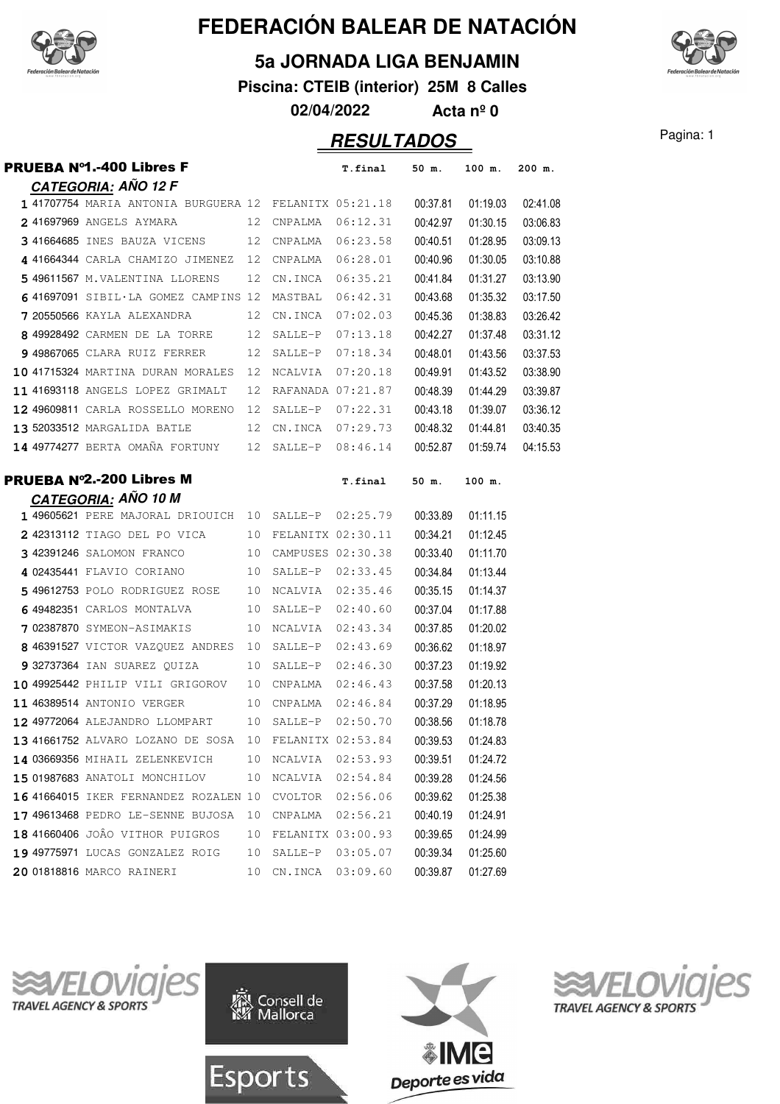

#### **5a JORNADA LIGA BENJAMIN**

**Piscina: CTEIB (interior) 25M 8 Calles**

**02/04/2022 Acta nº 0**

### **RESULTADOS** Pagina: 1

| PRUEBA №1.-400 Libres F                                                                |    |                           | T.final                      | 50 m.                | 100 m.               | 200 m.   |
|----------------------------------------------------------------------------------------|----|---------------------------|------------------------------|----------------------|----------------------|----------|
| <b>CATEGORIA: AÑO 12 F</b>                                                             |    |                           |                              |                      |                      |          |
| 1 41707754 MARIA ANTONIA BURGUERA 12 FELANITX 05:21.18                                 |    |                           |                              | 00:37.81             | 01:19.03             | 02:41.08 |
| 2 41697969 ANGELS AYMARA 12 CNPALMA 06:12.31                                           |    |                           |                              | 00:42.97             | 01:30.15             | 03:06.83 |
| 3 41664685 INES BAUZA VICENS 12 CNPALMA 06:23.58                                       |    |                           |                              | 00:40.51             | 01:28.95             | 03:09.13 |
| 4 41664344 CARLA CHAMIZO JIMENEZ 12 CNPALMA                                            |    |                           | 06:28.01                     | 00:40.96             | 01:30.05             | 03:10.88 |
| 5 49611567 M.VALENTINA LLORENS 12 CN.INCA 06:35.21                                     |    |                           |                              | 00:41.84             | 01:31.27             | 03:13.90 |
| 641697091 SIBIL·LA GOMEZ CAMPINS 12 MASTBAL                                            |    |                           | 06:42.31                     | 00:43.68             | 01:35.32             | 03:17.50 |
| 7 20550566 KAYLA ALEXANDRA 12 CN.INCA 07:02.03                                         |    |                           |                              | 00:45.36             | 01:38.83             | 03:26.42 |
| 8 49928492 CARMEN DE LA TORRE 12 SALLE-P                                               |    |                           | 07:13.18                     | 00:42.27             | 01:37.48             | 03:31.12 |
| 9 49867065 CLARA RUIZ FERRER                                                           |    | 12 SALLE-P                | 07:18.34                     | 00:48.01             | 01:43.56             | 03:37.53 |
| 10 41715324 MARTINA DURAN MORALES 12 NCALVIA                                           |    |                           | 07:20.18                     | 00:49.91             | 01:43.52             | 03:38.90 |
| 11 41693118 ANGELS LOPEZ GRIMALT                                                       |    | 12 RAFANADA 07:21.87      |                              | 00:48.39             | 01:44.29             | 03:39.87 |
| 12 49609811 CARLA ROSSELLO MORENO 12 SALLE-P 07:22.31                                  |    |                           |                              | 00:43.18             | 01:39.07             | 03:36.12 |
| 13 52033512 MARGALIDA BATLE 12 CN.INCA 07:29.73                                        |    |                           |                              | 00:48.32             | 01:44.81             | 03:40.35 |
| 14 49774277 BERTA OMAÑA FORTUNY 12 SALLE-P 08:46.14                                    |    |                           |                              | 00:52.87             | 01:59.74             | 04:15.53 |
|                                                                                        |    |                           |                              |                      |                      |          |
| <b>PRUEBA Nº2.-200 Libres M</b>                                                        |    |                           | T.final                      | 50 m.                | 100 m.               |          |
| <b>CATEGORIA: AÑO 10 M</b>                                                             |    |                           |                              |                      |                      |          |
| 1 49605621 PERE MAJORAL DRIOUICH 10 SALLE-P 02:25.79                                   |    |                           |                              | 00:33.89             | 01:11.15             |          |
| 2 42313112 TIAGO DEL PO VICA 10 FELANITX 02:30.11                                      |    |                           |                              | 00:34.21             | 01:12.45             |          |
| 342391246 SALOMON FRANCO                                                               |    | 10 CAMPUSES 02:30.38      | 10 SALLE-P 02:33.45          | 00:33.40             | 01:11.70             |          |
| 4 02435441 FLAVIO CORIANO                                                              |    |                           |                              | 00:34.84             | 01:13.44             |          |
| 5 49612753 POLO RODRIGUEZ ROSE 10 NCALVIA 02:35.46<br>6 49482351 CARLOS MONTALVA<br>10 |    |                           |                              | 00:35.15             | 01:14.37             |          |
| 7 02387870 SYMEON-ASIMAKIS                                                             | 10 | SALLE-P                   | 02:40.60<br>NCALVIA 02:43.34 | 00:37.04             | 01:17.88             |          |
| 8 46391527 VICTOR VAZQUEZ ANDRES 10                                                    |    |                           | SALLE-P 02:43.69             | 00:37.85<br>00:36.62 | 01:20.02<br>01:18.97 |          |
| 9 32737364 IAN SUAREZ QUIZA                                                            | 10 | SALLE-P                   | 02:46.30                     | 00:37.23             | 01:19.92             |          |
| 10 49925442 PHILIP VILI GRIGOROV                                                       | 10 | CNPALMA                   | 02:46.43                     | 00:37.58             | 01:20.13             |          |
| 11 46389514 ANTONIO VERGER                                                             | 10 | CNPALMA                   | 02:46.84                     | 00:37.29             | 01:18.95             |          |
| 12 49772064 ALEJANDRO LLOMPART 10                                                      |    | SALLE-P                   | 02:50.70                     | 00:38.56             | 01:18.78             |          |
| 13 41661752 ALVARO LOZANO DE SOSA 10 FELANITX 02:53.84                                 |    |                           |                              | 00:39.53             | 01:24.83             |          |
| 14 03669356 MIHAIL ZELENKEVICH                                                         | 10 | NCALVIA                   | 02:53.93                     | 00:39.51             | 01:24.72             |          |
| 15 01987683 ANATOLI MONCHILOV                                                          | 10 | NCALVIA                   | 02:54.84                     | 00:39.28             | 01:24.56             |          |
| 16 41664015 IKER FERNANDEZ ROZALEN 10                                                  |    | CVOLTOR                   | 02:56.06                     | 00:39.62             | 01:25.38             |          |
| 17 49613468 PEDRO LE-SENNE BUJOSA                                                      | 10 | CNPALMA                   | 02:56.21                     | 00:40.19             | 01:24.91             |          |
| 18 41660406 JOÂO VITHOR PUIGROS                                                        | 10 |                           | FELANITX 03:00.93            | 00:39.65             | 01:24.99             |          |
| 19 49775971 LUCAS GONZALEZ ROIG                                                        | 10 | SALLE-P                   | 03:05.07                     | 00:39.34             | 01:25.60             |          |
| 20 01818816 MARCO RAINERI                                                              | 10 | ${\tt CN\centerdot}$ INCA | 03:09.60                     | 00:39.87             | 01:27.69             |          |
|                                                                                        |    |                           |                              |                      |                      |          |









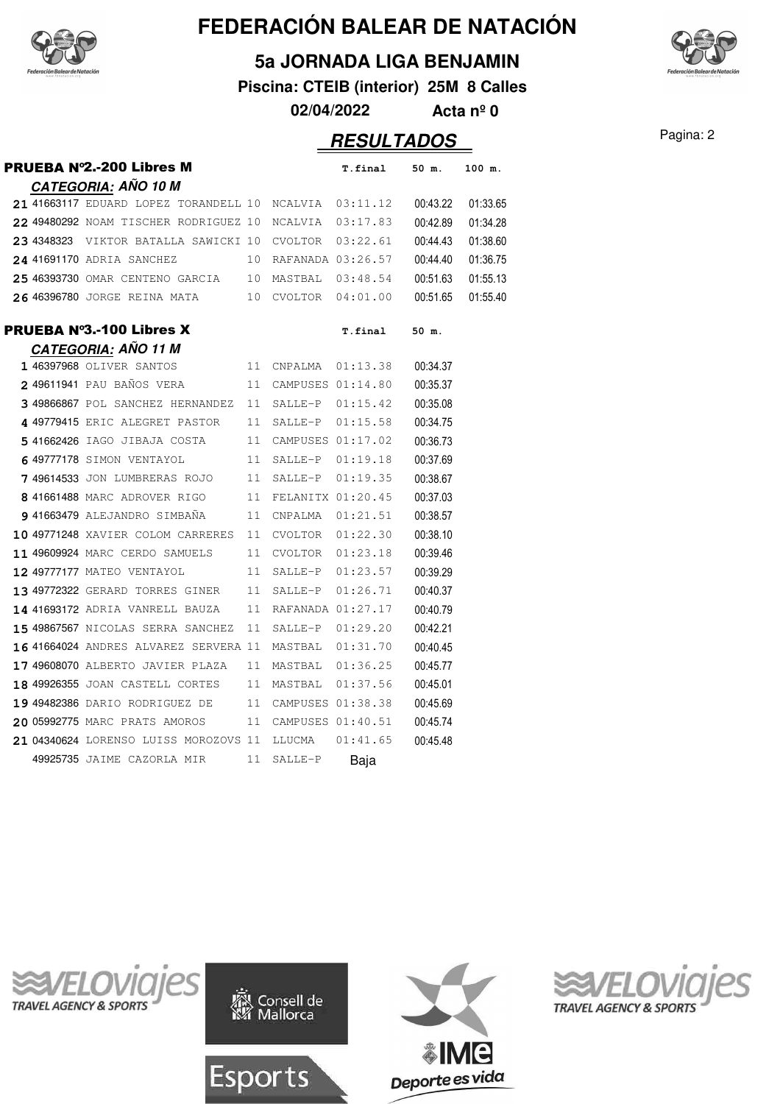

**5a JORNADA LIGA BENJAMIN**

**Piscina: CTEIB (interior) 25M 8 Calles**

**02/04/2022 Acta nº 0**

### Pagina: 2 **RESULTADOS**

|  | <b>PRUEBA Nº2.-200 Libres M</b>               |    |         | T.final           | 50 m.    | 100 m.   |
|--|-----------------------------------------------|----|---------|-------------------|----------|----------|
|  | <u>CATEGORIA</u> : AÑO 10 M                   |    |         |                   |          |          |
|  | 21 41663117 EDUARD LOPEZ TORANDELL 10 NCALVIA |    |         | 03:11.12          | 00:43.22 | 01:33.65 |
|  | 22 49480292 NOAM TISCHER RODRIGUEZ 10         |    | NCALVIA | 03:17.83          | 00:42.89 | 01:34.28 |
|  | 23 4348323 VIKTOR BATALLA SAWICKI 10          |    | CVOLTOR | 03:22.61          | 00:44.43 | 01:38.60 |
|  | 24 41691170 ADRIA SANCHEZ                     | 10 |         | RAFANADA 03:26.57 | 00:44.40 | 01:36.75 |
|  | 25 46393730 OMAR CENTENO GARCIA 10            |    | MASTBAL | 03:48.54          | 00:51.63 | 01:55.13 |
|  | 26 46396780 JORGE REINA MATA                  | 10 | CVOLTOR | 04:01.00          | 00:51.65 | 01:55.40 |
|  | PRUEBA N°3.-100 Libres X                      |    |         | T.final           | 50 m.    |          |
|  | <b>CATEGORIA: AÑO 11 M</b>                    |    |         |                   |          |          |
|  | 1 46397968 OLIVER SANTOS                      | 11 | CNPALMA | 01:13.38          | 00:34.37 |          |
|  | 2 49611941 PAU BAÑOS VERA                     | 11 |         | CAMPUSES 01:14.80 | 00:35.37 |          |
|  | 3 49866867 POL SANCHEZ HERNANDEZ              | 11 |         | SALLE-P 01:15.42  | 00:35.08 |          |
|  | 4 49779415 ERIC ALEGRET PASTOR                | 11 | SALLE-P | 01:15.58          | 00:34.75 |          |
|  | 541662426 IAGO JIBAJA COSTA                   | 11 |         | CAMPUSES 01:17.02 | 00:36.73 |          |
|  | 6 49777178 SIMON VENTAYOL                     | 11 | SALLE-P | 01:19.18          | 00:37.69 |          |
|  | 7 49614533 JON LUMBRERAS ROJO                 | 11 | SALLE-P | 01:19.35          | 00:38.67 |          |
|  | 8 41661488 MARC ADROVER RIGO                  | 11 |         | FELANITX 01:20.45 | 00:37.03 |          |
|  | 941663479 ALEJANDRO SIMBAÑA                   | 11 | CNPALMA | 01:21.51          | 00:38.57 |          |
|  | 10 49771248 XAVIER COLOM CARRERES             | 11 | CVOLTOR | 01:22.30          | 00:38.10 |          |
|  | 11 49609924 MARC CERDO SAMUELS                | 11 | CVOLTOR | 01:23.18          | 00:39.46 |          |
|  | 12 49777177 MATEO VENTAYOL                    | 11 | SALLE-P | 01:23.57          | 00:39.29 |          |
|  | 13 49772322 GERARD TORRES GINER               | 11 | SALLE-P | 01:26.71          | 00:40.37 |          |
|  | 14 41693172 ADRIA VANRELL BAUZA               | 11 |         | RAFANADA 01:27.17 | 00:40.79 |          |
|  | 15 49867567 NICOLAS SERRA SANCHEZ             | 11 | SALLE-P | 01:29.20          | 00:42.21 |          |
|  | 16 41664024 ANDRES ALVAREZ SERVERA 11         |    | MASTBAL | 01:31.70          | 00:40.45 |          |
|  | 17 49608070 ALBERTO JAVIER PLAZA              | 11 |         | MASTBAL 01:36.25  | 00:45.77 |          |
|  | 18 49926355 JOAN CASTELL CORTES               | 11 | MASTBAL | 01:37.56          | 00:45.01 |          |
|  | 19 49482386 dario rodriguez de                | 11 |         | CAMPUSES 01:38.38 | 00:45.69 |          |
|  | 20 05992775 MARC PRATS AMOROS                 | 11 |         | CAMPUSES 01:40.51 | 00:45.74 |          |
|  | 21 04340624 LORENSO LUISS MOROZOVS 11         |    | LLUCMA  | 01:41.65          | 00:45.48 |          |
|  | 49925735 JAIME CAZORLA MIR                    | 11 | SALLE-P | Baja              |          |          |









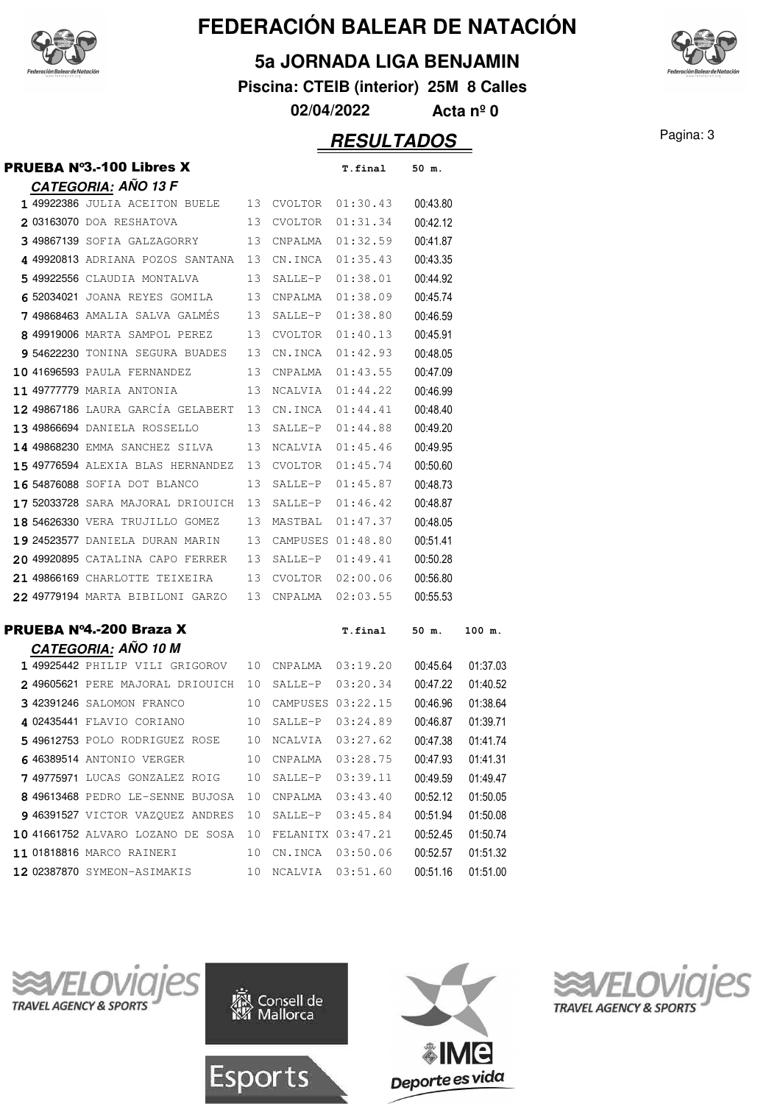

#### **5a JORNADA LIGA BENJAMIN**

**Piscina: CTEIB (interior) 25M 8 Calles**

**02/04/2022 Acta nº 0**

### Pagina: 3 **RESULTADOS**

|  | <b>PRUEBA Nº3.-100 Libres X</b>           |    |                   | T.final           | 50 m.    |          |
|--|-------------------------------------------|----|-------------------|-------------------|----------|----------|
|  | <b>CATEGORIA: AÑO 13 F</b>                |    |                   |                   |          |          |
|  | 1 49922386 JULIA ACEITON BUELE 13 CVOLTOR |    |                   | 01:30.43          | 00:43.80 |          |
|  | 203163070 DOA RESHATOVA                   | 13 | CVOLTOR           | 01:31.34          | 00:42.12 |          |
|  | 349867139 Sofia Galzagorry                | 13 | CNPALMA           | 01:32.59          | 00:41.87 |          |
|  | 4 49920813 ADRIANA POZOS SANTANA 13       |    | CN.INCA           | 01:35.43          | 00:43.35 |          |
|  | 5 49922556 CLAUDIA MONTALVA               | 13 | SALLE-P           | 01:38.01          | 00:44.92 |          |
|  | 6 52034021 JOANA REYES GOMILA             | 13 | CNPALMA           | 01:38.09          | 00:45.74 |          |
|  | <b>7 49868463</b> AMALIA SALVA GALMES     | 13 | SALLE-P           | 01:38.80          | 00:46.59 |          |
|  | 8 49919006 MARTA SAMPOL PEREZ             | 13 | CVOLTOR           | 01:40.13          | 00:45.91 |          |
|  | 954622230 TONINA SEGURA BUADES            | 13 | CN.INCA           | 01:42.93          | 00:48.05 |          |
|  | 10 41696593 PAULA FERNANDEZ               | 13 | CNPALMA           | 01:43.55          | 00:47.09 |          |
|  | 11 49777779 MARIA ANTONIA                 | 13 | NCALVIA           | 01:44.22          | 00:46.99 |          |
|  | 12 49867186 LAURA GARCÍA GELABERT 13      |    | CN.INCA           | 01:44.41          | 00:48.40 |          |
|  | 13 49866694 DANIELA ROSSELLO              | 13 | SALLE-P           | 01:44.88          | 00:49.20 |          |
|  | 14 49868230 EMMA SANCHEZ SILVA            | 13 | NCALVIA           | 01:45.46          | 00:49.95 |          |
|  | 15 49776594 ALEXIA BLAS HERNANDEZ         | 13 | CVOLTOR           | 01:45.74          | 00:50.60 |          |
|  | 16 54876088 SOFIA DOT BLANCO              | 13 | SALLE-P           | 01:45.87          | 00:48.73 |          |
|  | 17 52033728 SARA MAJORAL DRIOUICH         | 13 | SALLE-P           | 01:46.42          | 00:48.87 |          |
|  | 18 54626330 VERA TRUJILLO GOMEZ           | 13 | MASTBAL           | 01:47.37          | 00:48.05 |          |
|  | 19 24523577 DANIELA DURAN MARIN           | 13 |                   | CAMPUSES 01:48.80 | 00:51.41 |          |
|  | 20 49920895 CATALINA CAPO FERRER          | 13 | SALLE-P           | 01:49.41          | 00:50.28 |          |
|  | 21 49866169 CHARLOTTE TEIXEIRA            | 13 | CVOLTOR           | 02:00.06          | 00:56.80 |          |
|  | 22 49779194 MARTA BIBILONI GARZO          | 13 | CNPALMA           | 02:03.55          | 00:55.53 |          |
|  | PRUEBA Nº4.-200 Braza X                   |    |                   | T.final           | 50 m.    | 100 m.   |
|  | <b>CATEGORIA: AÑO 10 M</b>                |    |                   |                   |          |          |
|  | 1 49925442 PHILIP VILI GRIGOROV           | 10 | CNPALMA           | 03:19.20          | 00:45.64 | 01:37.03 |
|  | 249605621 PERE MAJORAL DRIOUICH           | 10 | SALLE-P           | 03:20.34          | 00:47.22 | 01:40.52 |
|  | 3 42391246 SALOMON FRANCO                 | 10 |                   | CAMPUSES 03:22.15 | 00:46.96 | 01:38.64 |
|  | 4 02435441 FLAVIO CORIANO                 | 10 | SALLE-P           | 03:24.89          | 00:46.87 | 01:39.71 |
|  | 549612753 POLO RODRIGUEZ ROSE             | 10 | NCALVIA           | 03:27.62          | 00:47.38 | 01:41.74 |
|  | 6 46389514 ANTONIO VERGER                 | 10 | CNPALMA           | 03:28.75          | 00:47.93 | 01:41.31 |
|  | 7 49775971 LUCAS GONZALEZ ROIG            | 10 | SALLE-P           | 03:39.11          | 00:49.59 | 01:49.47 |
|  | 8 49613468 PEDRO LE-SENNE BUJOSA          | 10 | CNPALMA           | 03:43.40          | 00:52.12 | 01:50.05 |
|  | 9 46391527 VICTOR VAZQUEZ ANDRES          | 10 | SALLE-P           | 03:45.84          | 00:51.94 | 01:50.08 |
|  | 10 41661752 ALVARO LOZANO DE SOSA         | 10 | FELANITX 03:47.21 |                   | 00:52.45 | 01:50.74 |
|  | 11 01818816 MARCO RAINERI                 | 10 | CN.INCA           | 03:50.06          | 00:52.57 | 01:51.32 |
|  | 12 02387870 SYMEON-ASIMAKIS               | 10 | NCALVIA           | 03:51.60          | 00:51.16 | 01:51.00 |









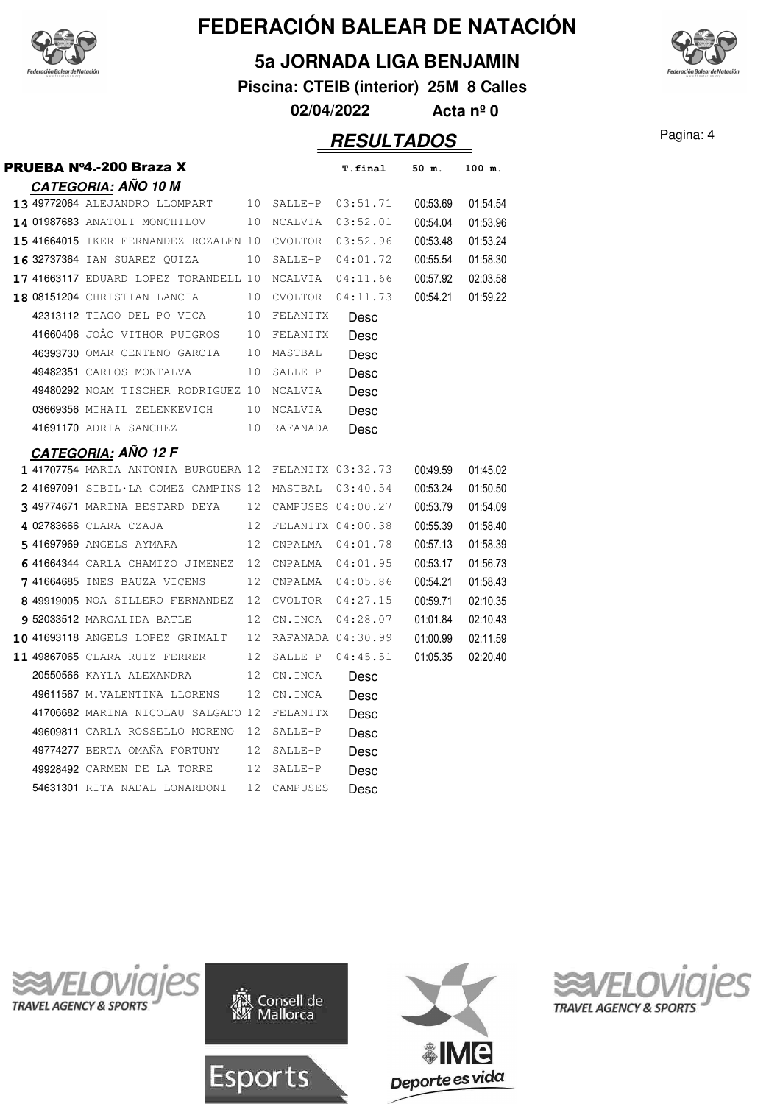

#### **5a JORNADA LIGA BENJAMIN**

**Piscina: CTEIB (interior) 25M 8 Calles**

**02/04/2022 Acta nº 0**

### Pagina: 4 **RESULTADOS**

| PRUEBA Nº4.-200 Braza X                                |    |                      | T.final              | 50 m.    | 100 m.   |
|--------------------------------------------------------|----|----------------------|----------------------|----------|----------|
| <b>CATEGORIA: AÑO 10 M</b>                             |    |                      |                      |          |          |
| 13 49772064 ALEJANDRO LLOMPART 10 SALLE-P 03:51.71     |    |                      |                      | 00:53.69 | 01:54.54 |
| 14 01987683 ANATOLI MONCHILOV                          |    | 10 NCALVIA           | 03:52.01             | 00:54.04 | 01:53.96 |
| 15 41664015 IKER FERNANDEZ ROZALEN 10 CVOLTOR          |    |                      | 03:52.96             | 00:53.48 | 01:53.24 |
| 16 32737364 IAN SUAREZ QUIZA                           |    | 10 SALLE-P           | 04:01.72             | 00:55.54 | 01:58.30 |
| 17 41663117 EDUARD LOPEZ TORANDELL 10 NCALVIA          |    |                      | 04:11.66             | 00:57.92 | 02:03.58 |
| <b>18 08151204</b> CHRISTIAN LANCIA                    |    | 10 CVOLTOR           | 04:11.73             | 00:54.21 | 01:59.22 |
| 42313112 TIAGO DEL PO VICA                             |    | 10 FELANITX          | Desc                 |          |          |
| 41660406 JOÂO VITHOR PUIGROS                           |    | 10 FELANITX          | Desc                 |          |          |
| 46393730 OMAR CENTENO GARCIA                           |    | 10 MASTBAL           | Desc                 |          |          |
| 49482351 CARLOS MONTALVA                               | 10 | SALLE-P              | Desc                 |          |          |
| 49480292 NOAM TISCHER RODRIGUEZ 10                     |    | NCALVIA              | Desc                 |          |          |
| 03669356 MIHAIL ZELENKEVICH                            |    | 10 NCALVIA           | Desc                 |          |          |
| 41691170 ADRIA SANCHEZ                                 |    | 10 RAFANADA          | Desc                 |          |          |
| <b>CATEGORIA: AÑO 12 F</b>                             |    |                      |                      |          |          |
| 1 41707754 MARIA ANTONIA BURGUERA 12 FELANITX 03:32.73 |    |                      |                      | 00:49.59 | 01:45.02 |
| 2 41697091 SIBIL·LA GOMEZ CAMPINS 12 MASTBAL 03:40.54  |    |                      |                      | 00:53.24 | 01:50.50 |
| <b>349774671</b> MARINA BESTARD DEYA                   |    | 12 CAMPUSES 04:00.27 |                      | 00:53.79 | 01:54.09 |
| 4 02783666 CLARA CZAJA                                 |    | 12 FELANITX 04:00.38 |                      | 00:55.39 | 01:58.40 |
| 541697969 ANGELS AYMARA                                |    | 12 CNPALMA 04:01.78  |                      | 00:57.13 | 01:58.39 |
| 641664344 CARLA CHAMIZO JIMENEZ 12 CNPALMA 04:01.95    |    |                      |                      | 00:53.17 | 01:56.73 |
| <b>7 41664685</b> INES BAUZA VICENS                    | 12 | CNPALMA 04:05.86     |                      | 00:54.21 | 01:58.43 |
| 8 49919005 NOA SILLERO FERNANDEZ 12                    |    |                      | $CVOLTOR$ $04:27.15$ | 00:59.71 | 02:10.35 |
| 9 52033512 MARGALIDA BATLE                             |    | 12 CN.INCA           | 04:28.07             | 01:01.84 | 02:10.43 |
| 10 41693118 ANGELS LOPEZ GRIMALT                       |    | 12 RAFANADA 04:30.99 |                      | 01:00.99 | 02:11.59 |
| 11 49867065 CLARA RUIZ FERRER                          |    | 12 SALLE-P 04:45.51  |                      | 01:05.35 | 02:20.40 |
| 20550566 KAYLA ALEXANDRA                               | 12 | CN.INCA              | Desc                 |          |          |
| 49611567 M.VALENTINA LLORENS                           | 12 | CN.INCA              | Desc                 |          |          |
| 41706682 MARINA NICOLAU SALGADO 12                     |    | FELANITX             | Desc                 |          |          |
| 49609811 CARLA ROSSELLO MORENO                         | 12 | SALLE-P              | Desc                 |          |          |
| 49774277 BERTA OMAÑA FORTUNY                           | 12 | SALLE-P              | Desc                 |          |          |
| 49928492 CARMEN DE LA TORRE                            | 12 | SALLE-P              | Desc                 |          |          |
| 54631301 RITA NADAL LONARDONI                          | 12 | CAMPUSES             | Desc                 |          |          |









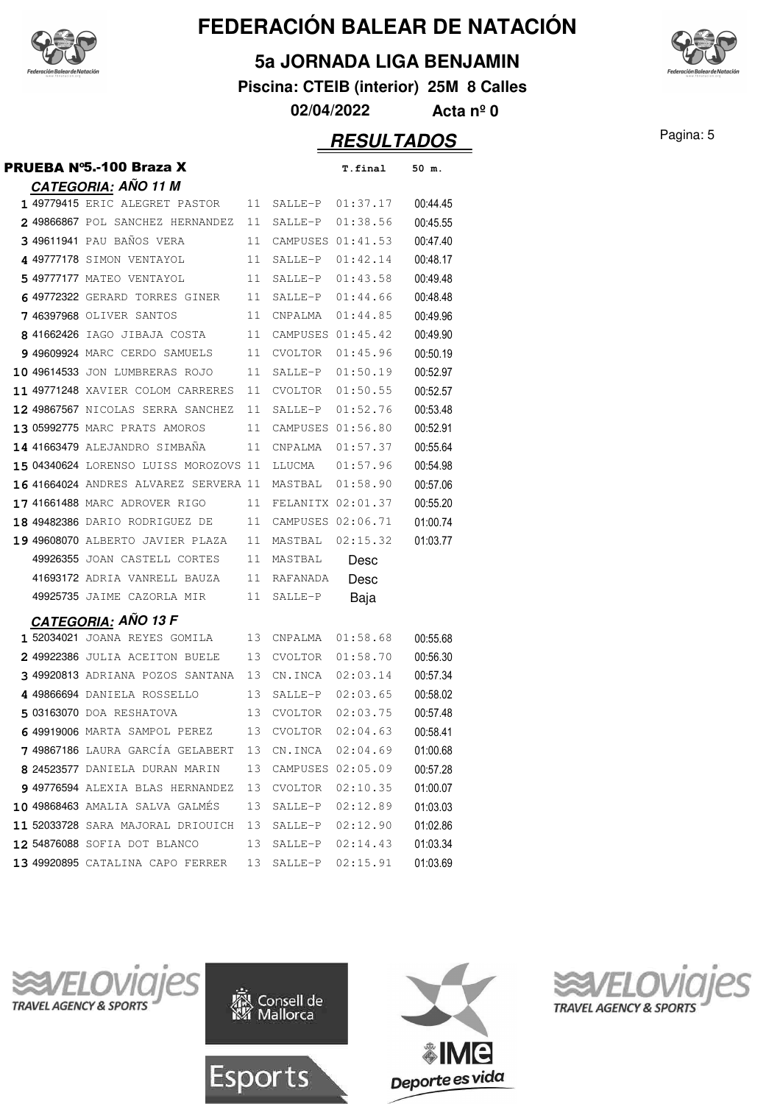

#### **5a JORNADA LIGA BENJAMIN**

**Piscina: CTEIB (interior) 25M 8 Calles**



**02/04/2022 Acta nº 0**

### Pagina: 5 **RESULTADOS**

|  | PRUEBA N°5.-100 Braza X               |    |                   | T.final          | 50 m.    |
|--|---------------------------------------|----|-------------------|------------------|----------|
|  | <b>CATEGORIA: AÑO 11 M</b>            |    |                   |                  |          |
|  | 1 49779415 ERIC ALEGRET PASTOR        | 11 | SALLE-P 01:37.17  |                  | 00:44.45 |
|  | 249866867 POL SANCHEZ HERNANDEZ       | 11 | SALLE-P 01:38.56  |                  | 00:45.55 |
|  | 3 49611941 PAU BAÑOS VERA             | 11 | CAMPUSES 01:41.53 |                  | 00:47.40 |
|  | 4 49777178 SIMON VENTAYOL             | 11 | SALLE-P           | 01:42.14         | 00:48.17 |
|  | 5 49777177 MATEO VENTAYOL             | 11 | SALLE-P           | 01:43.58         | 00:49.48 |
|  | 649772322 GERARD TORRES GINER         | 11 | SALLE-P           | 01:44.66         | 00:48.48 |
|  | 7 46397968 OLIVER SANTOS              | 11 | CNPALMA           | 01:44.85         | 00:49.96 |
|  | 8 41662426 IAGO JIBAJA COSTA          | 11 | CAMPUSES 01:45.42 |                  | 00:49.90 |
|  | 9 49609924 MARC CERDO SAMUELS         | 11 | CVOLTOR           | 01:45.96         | 00:50.19 |
|  | 10 49614533 JON LUMBRERAS ROJO        | 11 | SALLE-P           | 01:50.19         | 00:52.97 |
|  | 11 49771248 XAVIER COLOM CARRERES     | 11 | CVOLTOR           | 01:50.55         | 00:52.57 |
|  | 12 49867567 NICOLAS SERRA SANCHEZ     | 11 | SALLE-P           | 01:52.76         | 00:53.48 |
|  | 13 05992775 MARC PRATS AMOROS         | 11 | CAMPUSES 01:56.80 |                  | 00:52.91 |
|  | 14 41663479 ALEJANDRO SIMBAÑA         | 11 | CNPALMA           | 01:57.37         | 00:55.64 |
|  | 15 04340624 LORENSO LUISS MOROZOVS 11 |    | LLUCMA            | 01:57.96         | 00:54.98 |
|  | 16 41664024 ANDRES ALVAREZ SERVERA 11 |    | MASTBAL           | 01:58.90         | 00:57.06 |
|  | 17 41661488 MARC ADROVER RIGO         | 11 | FELANITX 02:01.37 |                  | 00:55.20 |
|  | 18 49482386 DARIO RODRIGUEZ DE        | 11 | CAMPUSES 02:06.71 |                  | 01:00.74 |
|  | 19 49608070 ALBERTO JAVIER PLAZA      | 11 | MASTBAL           | 02:15.32         | 01:03.77 |
|  | 49926355 JOAN CASTELL CORTES          | 11 | MASTBAL           | Desc             |          |
|  | 41693172 ADRIA VANRELL BAUZA          | 11 | RAFANADA          | Desc             |          |
|  | 49925735 JAIME CAZORLA MIR            | 11 | SALLE-P           | Baja             |          |
|  | <b>CATEGORIA: ANO 13 F</b>            |    |                   |                  |          |
|  | 1 52034021 JOANA REYES GOMILA         | 13 | CNPALMA           | 01:58.68         | 00:55.68 |
|  | 2 49922386 JULIA ACEITON BUELE        | 13 | CVOLTOR           | 01:58.70         | 00:56.30 |
|  | 349920813 ADRIANA POZOS SANTANA       | 13 |                   | CN.INCA 02:03.14 | 00:57.34 |
|  | 4 49866694 DANIELA ROSSELLO           | 13 | SALLE-P           | 02:03.65         | 00:58.02 |
|  | 5 03163070 DOA RESHATOVA              | 13 | CVOLTOR           | 02:03.75         | 00:57.48 |
|  | 6 49919006 MARTA SAMPOL PEREZ         | 13 | CVOLTOR 02:04.63  |                  | 00:58.41 |
|  | 7 49867186 LAURA GARCÍA GELABERT      |    | 13 CN.INCA        | 02:04.69         | 01:00.68 |
|  | 8 24523577 DANIELA DURAN MARIN        | 13 | CAMPUSES 02:05.09 |                  | 00:57.28 |
|  | 9 49776594 ALEXIA BLAS HERNANDEZ      | 13 | CVOLTOR           | 02:10.35         | 01:00.07 |
|  | 10 49868463 AMALIA SALVA GALMÉS       | 13 | SALLE-P           | 02:12.89         | 01:03.03 |
|  | 11 52033728 SARA MAJORAL DRIOUICH     | 13 | SALLE-P           | 02:12.90         | 01:02.86 |
|  | 12 54876088 SOFIA DOT BLANCO          | 13 | SALLE-P           | 02:14.43         | 01:03.34 |
|  | 13 49920895 CATALINA CAPO FERRER      | 13 | SALLE-P           | 02:15.91         | 01:03.69 |